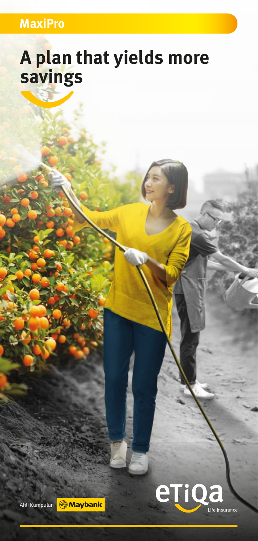### **MaxiPro**

# **A plan that yields more savings**



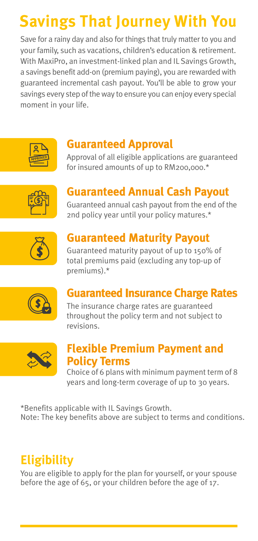# **Savings That Journey With You**

Save for a rainy day and also for things that truly matter to you and your family, such as vacations, children's education & retirement. With MaxiPro, an investment-linked plan and IL Savings Growth, a savings benefit add-on (premium paying), you are rewarded with guaranteed incremental cash payout. You'll be able to grow your savings every step of the way to ensure you can enjoy every special moment in your life.



#### **Guaranteed Approval**

Approval of all eligible applications are guaranteed for insured amounts of up to RM200,000.\*



## **Guaranteed Annual Cash Payout**

Guaranteed annual cash payout from the end of the 2nd policy year until your policy matures.\*



### **Guaranteed Maturity Payout**

Guaranteed maturity payout of up to 150% of total premiums paid (excluding any top-up of premiums).\*



#### **Guaranteed Insurance Charge Rates**

The insurance charge rates are guaranteed throughout the policy term and not subject to revisions.



#### **Flexible Premium Payment and Policy Terms**

Choice of 6 plans with minimum payment term of 8 years and long-term coverage of up to 30 years.

\*Benefits applicable with IL Savings Growth. Note: The key benefits above are subject to terms and conditions.

## **Eligibility**

You are eligible to apply for the plan for yourself, or your spouse before the age of 65, or your children before the age of 17.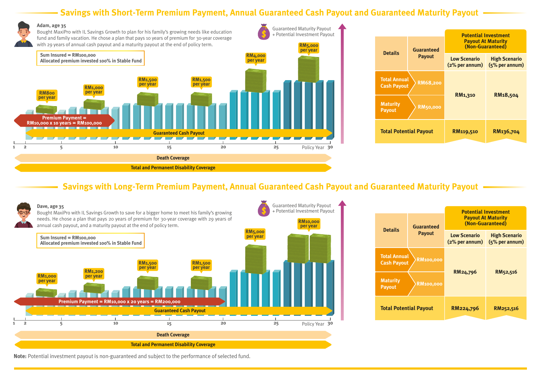### **Savings with Short-Term Premium Payment, Annual Guaranteed Cash Payout and Guaranteed Maturity Payout**





#### **Savings with Long-Term Premium Payment, Annual Guaranteed Cash Payout and Guaranteed Maturity Payout**



| <b>Details</b>                                                | <b>Guaranteed</b><br><b>Payout</b> | <b>Potential Investment</b><br><b>Payout At Maturity</b><br>(Non-Guaranteed) |                                        |
|---------------------------------------------------------------|------------------------------------|------------------------------------------------------------------------------|----------------------------------------|
|                                                               |                                    | <b>Low Scenario</b><br>$(2%$ per annum)                                      | <b>High Scenario</b><br>(5% per annum) |
| <b>Total Annual</b><br><b>RM100,000</b><br><b>Cash Payout</b> |                                    |                                                                              |                                        |
| <b>Maturity</b><br><b>Payout</b>                              | <b>RM100,000</b>                   | RM24,796                                                                     | RM52,516                               |
| <b>Total Potential Payout</b>                                 |                                    | RM224,796                                                                    | RM252,516                              |

**Note:** Potential investment payout is non-guaranteed and subject to the performance of selected fund.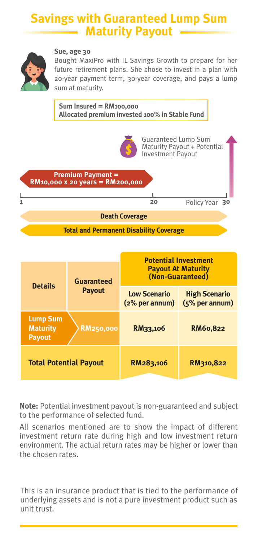#### **Savings with Guaranteed Lump Sum Maturity Payout**



#### **Sue, age 30**

Bought MaxiPro with IL Savings Growth to prepare for her future retirement plans. She chose to invest in a plan with 20-year payment term, 30-year coverage, and pays a lump sum at maturity.



| <b>Details</b>                                      | <b>Guaranteed</b><br><b>Payout</b> | <b>Potential Investment</b><br><b>Payout At Maturity</b><br>(Non-Guaranteed) |                                          |
|-----------------------------------------------------|------------------------------------|------------------------------------------------------------------------------|------------------------------------------|
|                                                     |                                    | <b>Low Scenario</b><br>$(2%$ per annum)                                      | <b>High Scenario</b><br>$(5%$ per annum) |
| <b>Lump Sum</b><br><b>Maturity</b><br><b>Payout</b> | <b>RM250,000</b>                   | RM33,106                                                                     | RM60.822                                 |
| <b>Total Potential Payout</b>                       |                                    | RM283,106                                                                    | RM310,822                                |

**Note:** Potential investment payout is non-guaranteed and subject to the performance of selected fund.

All scenarios mentioned are to show the impact of different investment return rate during high and low investment return environment. The actual return rates may be higher or lower than the chosen rates.

This is an insurance product that is tied to the performance of underlying assets and is not a pure investment product such as unit trust.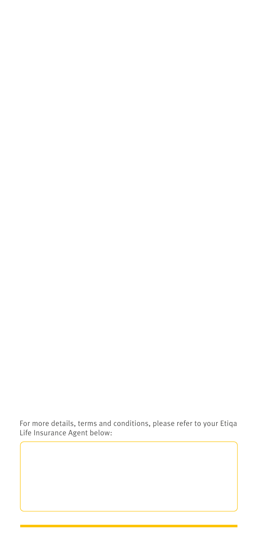For more details, terms and conditions, please refer to your Etiqa Life Insurance Agent below: